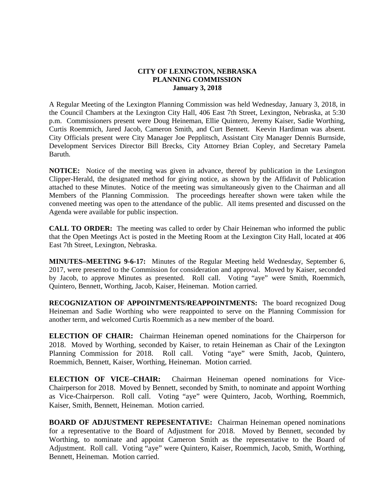## **CITY OF LEXINGTON, NEBRASKA PLANNING COMMISSION January 3, 2018**

A Regular Meeting of the Lexington Planning Commission was held Wednesday, January 3, 2018, in the Council Chambers at the Lexington City Hall, 406 East 7th Street, Lexington, Nebraska, at 5:30 p.m. Commissioners present were Doug Heineman, Ellie Quintero, Jeremy Kaiser, Sadie Worthing, Curtis Roemmich, Jared Jacob, Cameron Smith, and Curt Bennett. Keevin Hardiman was absent. City Officials present were City Manager Joe Pepplitsch, Assistant City Manager Dennis Burnside, Development Services Director Bill Brecks, City Attorney Brian Copley, and Secretary Pamela Baruth.

**NOTICE:** Notice of the meeting was given in advance, thereof by publication in the Lexington Clipper-Herald, the designated method for giving notice, as shown by the Affidavit of Publication attached to these Minutes. Notice of the meeting was simultaneously given to the Chairman and all Members of the Planning Commission. The proceedings hereafter shown were taken while the convened meeting was open to the attendance of the public. All items presented and discussed on the Agenda were available for public inspection.

**CALL TO ORDER:** The meeting was called to order by Chair Heineman who informed the public that the Open Meetings Act is posted in the Meeting Room at the Lexington City Hall, located at 406 East 7th Street, Lexington, Nebraska.

**MINUTES–MEETING 9-6-17:** Minutes of the Regular Meeting held Wednesday, September 6, 2017, were presented to the Commission for consideration and approval. Moved by Kaiser, seconded by Jacob, to approve Minutes as presented. Roll call. Voting "aye" were Smith, Roemmich, Quintero, Bennett, Worthing, Jacob, Kaiser, Heineman. Motion carried.

**RECOGNIZATION OF APPOINTMENTS/REAPPOINTMENTS:** The board recognized Doug Heineman and Sadie Worthing who were reappointed to serve on the Planning Commission for another term, and welcomed Curtis Roemmich as a new member of the board.

**ELECTION OF CHAIR:** Chairman Heineman opened nominations for the Chairperson for 2018. Moved by Worthing, seconded by Kaiser, to retain Heineman as Chair of the Lexington Planning Commission for 2018. Roll call. Voting "aye" were Smith, Jacob, Quintero, Roemmich, Bennett, Kaiser, Worthing, Heineman. Motion carried.

**ELECTION OF VICE–CHAIR:** Chairman Heineman opened nominations for Vice-Chairperson for 2018. Moved by Bennett, seconded by Smith, to nominate and appoint Worthing as Vice-Chairperson. Roll call. Voting "aye" were Quintero, Jacob, Worthing, Roemmich, Kaiser, Smith, Bennett, Heineman. Motion carried.

**BOARD OF ADJUSTMENT REPESENTATIVE:** Chairman Heineman opened nominations for a representative to the Board of Adjustment for 2018. Moved by Bennett, seconded by Worthing, to nominate and appoint Cameron Smith as the representative to the Board of Adjustment. Roll call. Voting "aye" were Quintero, Kaiser, Roemmich, Jacob, Smith, Worthing, Bennett, Heineman. Motion carried.